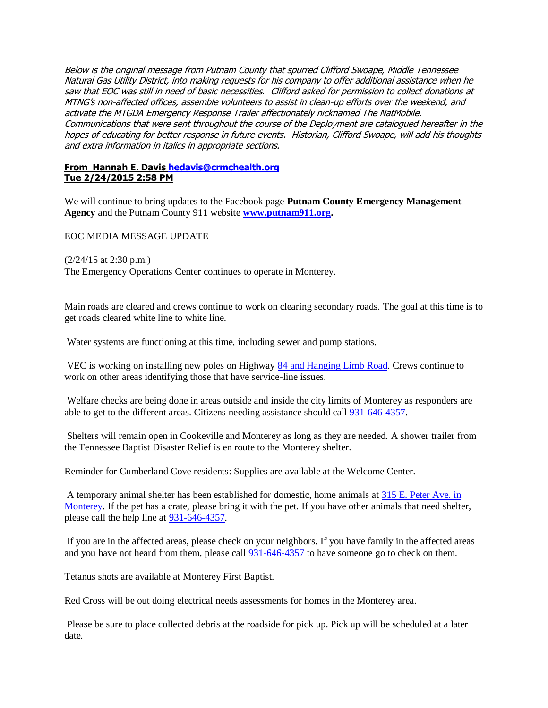Below is the original message from Putnam County that spurred Clifford Swoape, Middle Tennessee Natural Gas Utility District, into making requests for his company to offer additional assistance when he saw that EOC was still in need of basic necessities. Clifford asked for permission to collect donations at MTNG's non-affected offices, assemble volunteers to assist in clean-up efforts over the weekend, and activate the MTGDA Emergency Response Trailer affectionately nicknamed The NatMobile. Communications that were sent throughout the course of the Deployment are catalogued hereafter in the hopes of educating for better response in future events. Historian, Clifford Swoape, will add his thoughts and extra information in italics in appropriate sections.

#### **From Hannah E. Davis [hedavis@crmchealth.org](mailto:hedavis@crmchealth.org) Tue 2/24/2015 2:58 PM**

We will continue to bring updates to the Facebook page **Putnam County Emergency Management Agency** and the Putnam County 911 website **[www.putnam911.org.](http://www.putnam911.org/)**

EOC MEDIA MESSAGE UPDATE

(2/24/15 at 2:30 p.m.)

The Emergency Operations Center continues to operate in Monterey.

Main roads are cleared and crews continue to work on clearing secondary roads. The goal at this time is to get roads cleared white line to white line.

Water systems are functioning at this time, including sewer and pump stations.

VEC is working on installing new poles on Highway [84 and Hanging Limb Road.](x-apple-data-detectors://2/) Crews continue to work on other areas identifying those that have service-line issues.

Welfare checks are being done in areas outside and inside the city limits of Monterey as responders are able to get to the different areas. Citizens needing assistance should call [931-646-4357.](tel:931-646-4357)

Shelters will remain open in Cookeville and Monterey as long as they are needed. A shower trailer from the Tennessee Baptist Disaster Relief is en route to the Monterey shelter.

Reminder for Cumberland Cove residents: Supplies are available at the Welcome Center.

A temporary animal shelter has been established for domestic, home animals at [315 E. Peter Ave. in](x-apple-data-detectors://4/)  [Monterey.](x-apple-data-detectors://4/) If the pet has a crate, please bring it with the pet. If you have other animals that need shelter, please call the help line at [931-646-4357.](tel:931-646-4357)

If you are in the affected areas, please check on your neighbors. If you have family in the affected areas and you have not heard from them, please call [931-646-4357](tel:931-646-4357) to have someone go to check on them.

Tetanus shots are available at Monterey First Baptist.

Red Cross will be out doing electrical needs assessments for homes in the Monterey area.

Please be sure to place collected debris at the roadside for pick up. Pick up will be scheduled at a later date.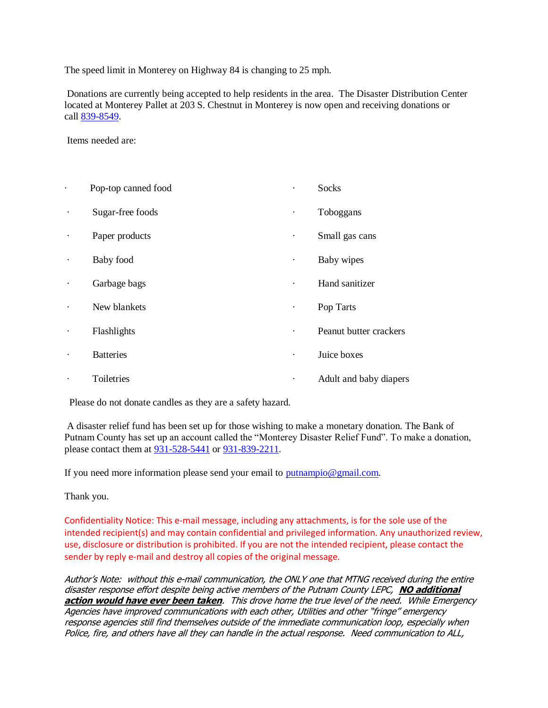The speed limit in Monterey on Highway 84 is changing to 25 mph.

Donations are currently being accepted to help residents in the area. The Disaster Distribution Center located at Monterey Pallet at 203 S. Chestnut in Monterey is now open and receiving donations or call [839-8549.](tel:839-8549)

Items needed are:

|           | Pop-top canned food |           | Socks                  |
|-----------|---------------------|-----------|------------------------|
| $\bullet$ | Sugar-free foods    | $\bullet$ | Toboggans              |
| $\bullet$ | Paper products      | ٠         | Small gas cans         |
| $\bullet$ | Baby food           | ٠         | Baby wipes             |
|           | Garbage bags        |           | Hand sanitizer         |
|           | New blankets        | ٠         | Pop Tarts              |
| $\bullet$ | Flashlights         | ٠         | Peanut butter crackers |
|           | <b>Batteries</b>    |           | Juice boxes            |
|           | Toiletries          |           | Adult and baby diapers |

Please do not donate candles as they are a safety hazard.

A disaster relief fund has been set up for those wishing to make a monetary donation. The Bank of Putnam County has set up an account called the "Monterey Disaster Relief Fund". To make a donation, please contact them at [931-528-5441](tel:931-528-5441) or [931-839-2211.](tel:931-839-2211)

If you need more information please send your email to [putnampio@gmail.com.](mailto:putnampio@gmail.com)

Thank you.

Confidentiality Notice: This e-mail message, including any attachments, is for the sole use of the intended recipient(s) and may contain confidential and privileged information. Any unauthorized review, use, disclosure or distribution is prohibited. If you are not the intended recipient, please contact the sender by reply e-mail and destroy all copies of the original message.

Author's Note: without this e-mail communication, the ONLY one that MTNG received during the entire disaster response effort despite being active members of the Putnam County LEPC, **NO additional action would have ever been taken**. This drove home the true level of the need. While Emergency Agencies have improved communications with each other, Utilities and other "fringe" emergency response agencies still find themselves outside of the immediate communication loop, especially when Police, fire, and others have all they can handle in the actual response. Need communication to ALL,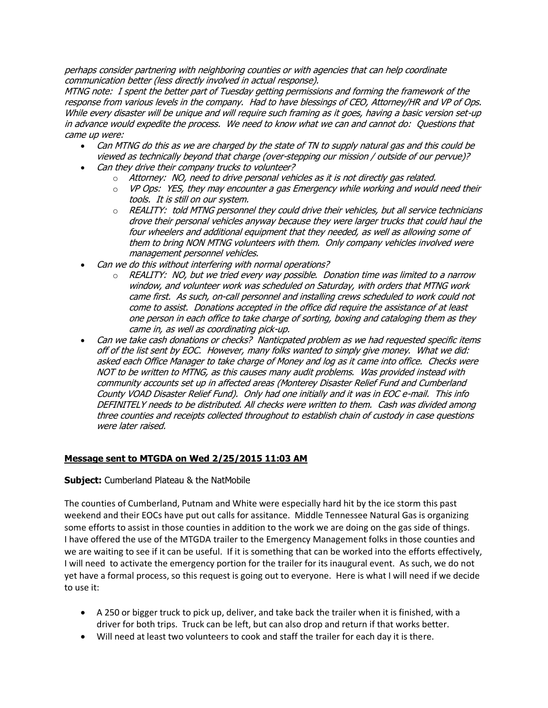perhaps consider partnering with neighboring counties or with agencies that can help coordinate communication better (less directly involved in actual response).

MTNG note: I spent the better part of Tuesday getting permissions and forming the framework of the response from various levels in the company. Had to have blessings of CEO, Attorney/HR and VP of Ops. While every disaster will be unique and will require such framing as it goes, having a basic version set-up in advance would expedite the process. We need to know what we can and cannot do: Questions that came up were:

- Can MTNG do this as we are charged by the state of TN to supply natural gas and this could be viewed as technically beyond that charge (over-stepping our mission / outside of our pervue)?
- Can they drive their company trucks to volunteer?
	- o Attorney: NO, need to drive personal vehicles as it is not directly gas related.
	- $\circ$  VP Ops: YES, they may encounter a gas Emergency while working and would need their tools. It is still on our system.
	- $\circ$  REALITY: told MTNG personnel they could drive their vehicles, but all service technicians drove their personal vehicles anyway because they were larger trucks that could haul the four wheelers and additional equipment that they needed, as well as allowing some of them to bring NON MTNG volunteers with them. Only company vehicles involved were management personnel vehicles.
- Can we do this without interfering with normal operations?
	- $\circ$  REALITY: NO, but we tried every way possible. Donation time was limited to a narrow window, and volunteer work was scheduled on Saturday, with orders that MTNG work came first. As such, on-call personnel and installing crews scheduled to work could not come to assist. Donations accepted in the office did require the assistance of at least one person in each office to take charge of sorting, boxing and cataloging them as they came in, as well as coordinating pick-up.
- Can we take cash donations or checks? Nanticpated problem as we had requested specific items off of the list sent by EOC. However, many folks wanted to simply give money. What we did: asked each Office Manager to take charge of Money and log as it came into office. Checks were NOT to be written to MTNG, as this causes many audit problems. Was provided instead with community accounts set up in affected areas (Monterey Disaster Relief Fund and Cumberland County VOAD Disaster Relief Fund). Only had one initially and it was in EOC e-mail. This info DEFINITELY needs to be distributed. All checks were written to them. Cash was divided among three counties and receipts collected throughout to establish chain of custody in case questions were later raised.

## **Message sent to MTGDA on Wed 2/25/2015 11:03 AM**

## **Subject:** Cumberland Plateau & the NatMobile

The counties of Cumberland, Putnam and White were especially hard hit by the ice storm this past weekend and their EOCs have put out calls for assitance. Middle Tennessee Natural Gas is organizing some efforts to assist in those counties in addition to the work we are doing on the gas side of things. I have offered the use of the MTGDA trailer to the Emergency Management folks in those counties and we are waiting to see if it can be useful. If it is something that can be worked into the efforts effectively, I will need to activate the emergency portion for the trailer for its inaugural event. As such, we do not yet have a formal process, so this request is going out to everyone. Here is what I will need if we decide to use it:

- A 250 or bigger truck to pick up, deliver, and take back the trailer when it is finished, with a driver for both trips. Truck can be left, but can also drop and return if that works better.
- Will need at least two volunteers to cook and staff the trailer for each day it is there.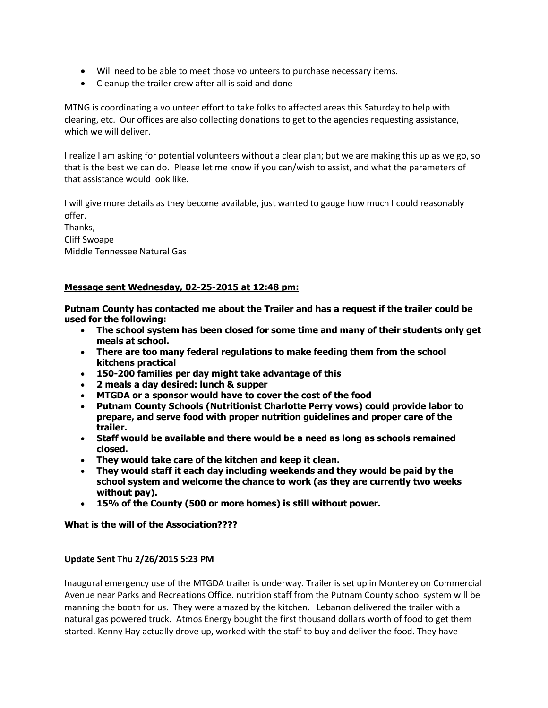- Will need to be able to meet those volunteers to purchase necessary items.
- Cleanup the trailer crew after all is said and done

MTNG is coordinating a volunteer effort to take folks to affected areas this Saturday to help with clearing, etc. Our offices are also collecting donations to get to the agencies requesting assistance, which we will deliver.

I realize I am asking for potential volunteers without a clear plan; but we are making this up as we go, so that is the best we can do. Please let me know if you can/wish to assist, and what the parameters of that assistance would look like.

I will give more details as they become available, just wanted to gauge how much I could reasonably offer.

Thanks, Cliff Swoape Middle Tennessee Natural Gas

# **Message sent Wednesday, 02-25-2015 at 12:48 pm:**

**Putnam County has contacted me about the Trailer and has a request if the trailer could be used for the following:**

- **The school system has been closed for some time and many of their students only get meals at school.**
- **There are too many federal regulations to make feeding them from the school kitchens practical**
- **150-200 families per day might take advantage of this**
- **2 meals a day desired: lunch & supper**
- **MTGDA or a sponsor would have to cover the cost of the food**
- **Putnam County Schools (Nutritionist Charlotte Perry vows) could provide labor to prepare, and serve food with proper nutrition guidelines and proper care of the trailer.**
- **Staff would be available and there would be a need as long as schools remained closed.**
- **They would take care of the kitchen and keep it clean.**
- **They would staff it each day including weekends and they would be paid by the school system and welcome the chance to work (as they are currently two weeks without pay).**
- **15% of the County (500 or more homes) is still without power.**

## **What is the will of the Association????**

## **Update Sent Thu 2/26/2015 5:23 PM**

Inaugural emergency use of the MTGDA trailer is underway. Trailer is set up in Monterey on Commercial Avenue near Parks and Recreations Office. nutrition staff from the Putnam County school system will be manning the booth for us. They were amazed by the kitchen. Lebanon delivered the trailer with a natural gas powered truck. Atmos Energy bought the first thousand dollars worth of food to get them started. Kenny Hay actually drove up, worked with the staff to buy and deliver the food. They have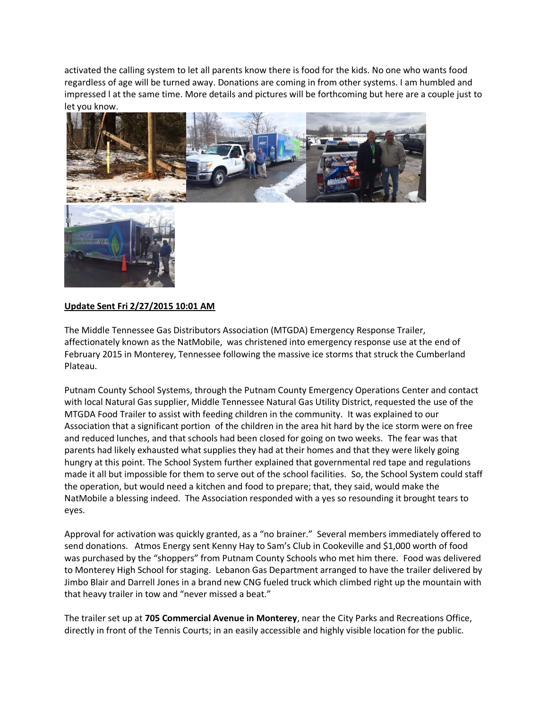activated the calling system to let all parents know there is food for the kids. No one who wants food regardless of age will be turned away. Donations are coming in from other systems. I am humbled and impressed l at the same time. More details and pictures will be forthcoming but here are a couple just to let you know.



## **Update Sent Fri 2/27/2015 10:01 AM**

The Middle Tennessee Gas Distributors Association (MTGDA) Emergency Response Trailer, affectionately known as the NatMobile, was christened into emergency response use at the end of February 2015 in Monterey, Tennessee following the massive ice storms that struck the Cumberland Plateau.

Putnam County School Systems, through the Putnam County Emergency Operations Center and contact with local Natural Gas supplier, Middle Tennessee Natural Gas Utility District, requested the use of the MTGDA Food Trailer to assist with feeding children in the community. It was explained to our Association that a significant portion of the children in the area hit hard by the ice storm were on free and reduced lunches, and that schools had been closed for going on two weeks. The fear was that parents had likely exhausted what supplies they had at their homes and that they were likely going hungry at this point. The School System further explained that governmental red tape and regulations made it all but impossible for them to serve out of the school facilities. So, the School System could staff the operation, but would need a kitchen and food to prepare; that, they said, would make the NatMobile a blessing indeed. The Association responded with a yes so resounding it brought tears to eyes.

Approval for activation was quickly granted, as a "no brainer." Several members immediately offered to send donations. Atmos Energy sent Kenny Hay to Sam's Club in Cookeville and \$1,000 worth of food was purchased by the "shoppers" from Putnam County Schools who met him there. Food was delivered to Monterey High School for staging. Lebanon Gas Department arranged to have the trailer delivered by Jimbo Blair and Darrell Jones in a brand new CNG fueled truck which climbed right up the mountain with that heavy trailer in tow and "never missed a beat."

The trailer set up at **705 Commercial Avenue in Monterey**, near the City Parks and Recreations Office, directly in front of the Tennis Courts; in an easily accessible and highly visible location for the public.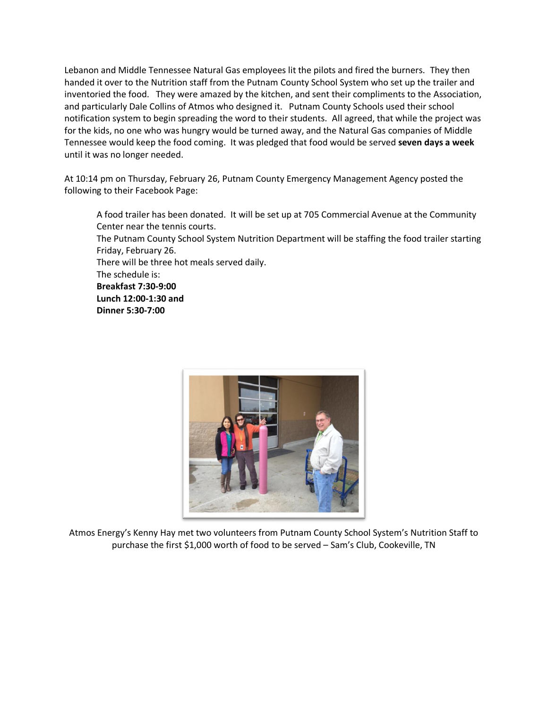Lebanon and Middle Tennessee Natural Gas employees lit the pilots and fired the burners. They then handed it over to the Nutrition staff from the Putnam County School System who set up the trailer and inventoried the food. They were amazed by the kitchen, and sent their compliments to the Association, and particularly Dale Collins of Atmos who designed it. Putnam County Schools used their school notification system to begin spreading the word to their students. All agreed, that while the project was for the kids, no one who was hungry would be turned away, and the Natural Gas companies of Middle Tennessee would keep the food coming. It was pledged that food would be served **seven days a week** until it was no longer needed.

At 10:14 pm on Thursday, February 26, Putnam County Emergency Management Agency posted the following to their Facebook Page:

A food trailer has been donated. It will be set up at 705 Commercial Avenue at the Community Center near the tennis courts.

The Putnam County School System Nutrition Department will be staffing the food trailer starting Friday, February 26.

There will be three hot meals served daily.

The schedule is:

**Breakfast 7:30-9:00 Lunch 12:00-1:30 and Dinner 5:30-7:00**



Atmos Energy's Kenny Hay met two volunteers from Putnam County School System's Nutrition Staff to purchase the first \$1,000 worth of food to be served – Sam's Club, Cookeville, TN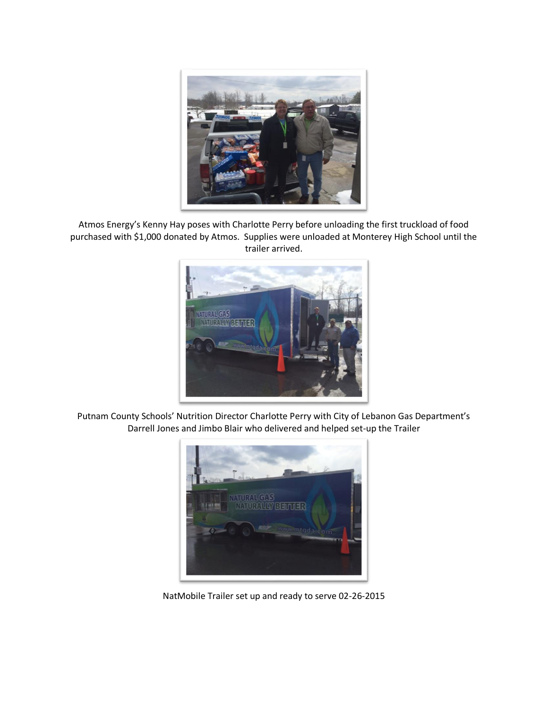

Atmos Energy's Kenny Hay poses with Charlotte Perry before unloading the first truckload of food purchased with \$1,000 donated by Atmos. Supplies were unloaded at Monterey High School until the trailer arrived.



Putnam County Schools' Nutrition Director Charlotte Perry with City of Lebanon Gas Department's Darrell Jones and Jimbo Blair who delivered and helped set-up the Trailer



NatMobile Trailer set up and ready to serve 02-26-2015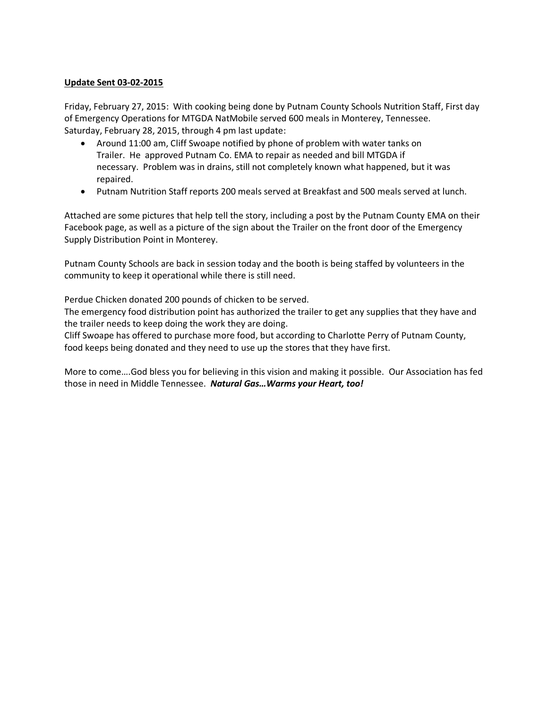## **Update Sent 03-02-2015**

Friday, February 27, 2015: With cooking being done by Putnam County Schools Nutrition Staff, First day of Emergency Operations for MTGDA NatMobile served 600 meals in Monterey, Tennessee. Saturday, February 28, 2015, through 4 pm last update:

- Around 11:00 am, Cliff Swoape notified by phone of problem with water tanks on Trailer. He approved Putnam Co. EMA to repair as needed and bill MTGDA if necessary. Problem was in drains, still not completely known what happened, but it was repaired.
- Putnam Nutrition Staff reports 200 meals served at Breakfast and 500 meals served at lunch.

Attached are some pictures that help tell the story, including a post by the Putnam County EMA on their Facebook page, as well as a picture of the sign about the Trailer on the front door of the Emergency Supply Distribution Point in Monterey.

Putnam County Schools are back in session today and the booth is being staffed by volunteers in the community to keep it operational while there is still need.

Perdue Chicken donated 200 pounds of chicken to be served.

The emergency food distribution point has authorized the trailer to get any supplies that they have and the trailer needs to keep doing the work they are doing.

Cliff Swoape has offered to purchase more food, but according to Charlotte Perry of Putnam County, food keeps being donated and they need to use up the stores that they have first.

More to come….God bless you for believing in this vision and making it possible. Our Association has fed those in need in Middle Tennessee. *Natural Gas…Warms your Heart, too!*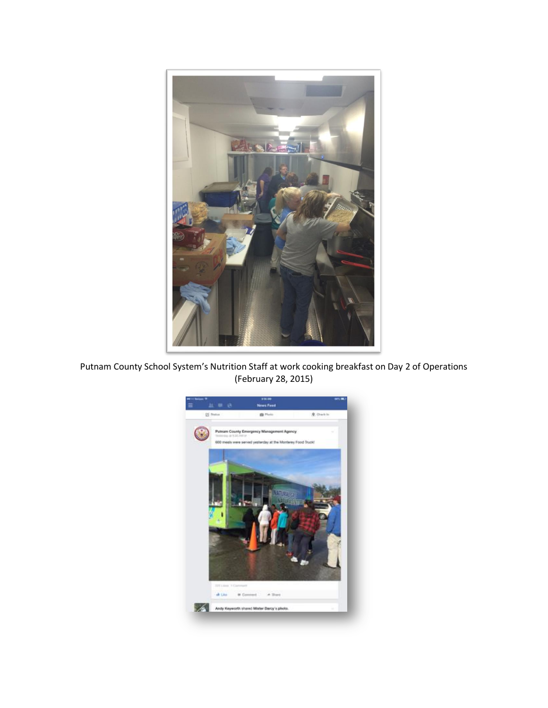

Putnam County School System's Nutrition Staff at work cooking breakfast on Day 2 of Operations (February 28, 2015)